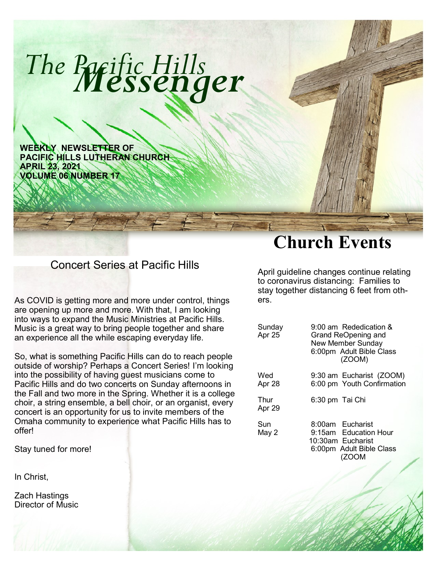

## Concert Series at Pacific Hills

As COVID is getting more and more under control, things are opening up more and more. With that, I am looking into ways to expand the Music Ministries at Pacific Hills. Music is a great way to bring people together and share an experience all the while escaping everyday life.

So, what is something Pacific Hills can do to reach people outside of worship? Perhaps a Concert Series! I'm looking into the possibility of having guest musicians come to Pacific Hills and do two concerts on Sunday afternoons in the Fall and two more in the Spring. Whether it is a college choir, a string ensemble, a bell choir, or an organist, every concert is an opportunity for us to invite members of the Omaha community to experience what Pacific Hills has to offer!

Stay tuned for more!

In Christ,

Zach Hastings Director of Music

# **Church Events**

April guideline changes continue relating to coronavirus distancing: Families to stay together distancing 6 feet from others.

| Sunday<br>Apr 25 | 9:00 am Rededication &<br>Grand ReOpening and<br><b>New Member Sunday</b><br>6:00pm Adult Bible Class<br>(ZOOM) |
|------------------|-----------------------------------------------------------------------------------------------------------------|
| Wed<br>Apr 28    | 9:30 am Eucharist (ZOOM)<br>6:00 pm Youth Confirmation                                                          |
| Thur<br>Apr 29   | 6:30 pm Tai Chi                                                                                                 |
| Sun<br>May 2     | 8:00am Eucharist<br>9:15am Education Hour<br>10:30am Eucharist<br>6:00pm Adult Bible Class<br>(ZOOM             |